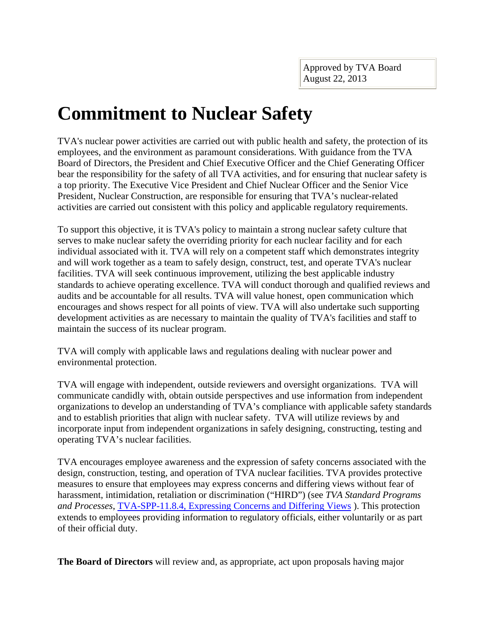## **Commitment to Nuclear Safety**

TVA's nuclear power activities are carried out with public health and safety, the protection of its employees, and the environment as paramount considerations. With guidance from the TVA Board of Directors, the President and Chief Executive Officer and the Chief Generating Officer bear the responsibility for the safety of all TVA activities, and for ensuring that nuclear safety is a top priority. The Executive Vice President and Chief Nuclear Officer and the Senior Vice President, Nuclear Construction, are responsible for ensuring that TVA's nuclear-related activities are carried out consistent with this policy and applicable regulatory requirements.

To support this objective, it is TVA's policy to maintain a strong nuclear safety culture that serves to make nuclear safety the overriding priority for each nuclear facility and for each individual associated with it. TVA will rely on a competent staff which demonstrates integrity and will work together as a team to safely design, construct, test, and operate TVA's nuclear facilities. TVA will seek continuous improvement, utilizing the best applicable industry standards to achieve operating excellence. TVA will conduct thorough and qualified reviews and audits and be accountable for all results. TVA will value honest, open communication which encourages and shows respect for all points of view. TVA will also undertake such supporting development activities as are necessary to maintain the quality of TVA's facilities and staff to maintain the success of its nuclear program.

TVA will comply with applicable laws and regulations dealing with nuclear power and environmental protection.

TVA will engage with independent, outside reviewers and oversight organizations. TVA will communicate candidly with, obtain outside perspectives and use information from independent organizations to develop an understanding of TVA's compliance with applicable safety standards and to establish priorities that align with nuclear safety. TVA will utilize reviews by and incorporate input from independent organizations in safely designing, constructing, testing and operating TVA's nuclear facilities.

TVA encourages employee awareness and the expression of safety concerns associated with the design, construction, testing, and operation of TVA nuclear facilities. TVA provides protective measures to ensure that employees may express concerns and differing views without fear of harassment, intimidation, retaliation or discrimination ("HIRD") (see *TVA Standard Programs and Processes*, [TVA-SPP-11.8.4, Expressing Concerns and Differing Views](http://chapedmw2.cha.tva.gov/dms/pc/getdocument.asp?library=chaedmp%5echachaedmp1&idmId=111322955) ). This protection extends to employees providing information to regulatory officials, either voluntarily or as part of their official duty.

**The Board of Directors** will review and, as appropriate, act upon proposals having major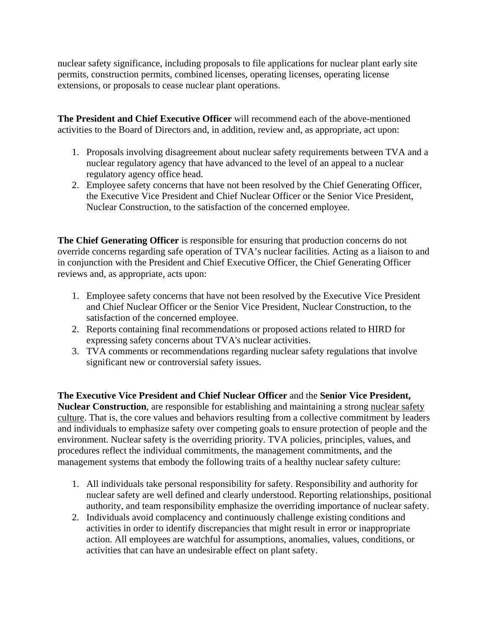nuclear safety significance, including proposals to file applications for nuclear plant early site permits, construction permits, combined licenses, operating licenses, operating license extensions, or proposals to cease nuclear plant operations.

**The President and Chief Executive Officer** will recommend each of the above-mentioned activities to the Board of Directors and, in addition, review and, as appropriate, act upon:

- 1. Proposals involving disagreement about nuclear safety requirements between TVA and a nuclear regulatory agency that have advanced to the level of an appeal to a nuclear regulatory agency office head.
- 2. Employee safety concerns that have not been resolved by the Chief Generating Officer, the Executive Vice President and Chief Nuclear Officer or the Senior Vice President, Nuclear Construction, to the satisfaction of the concerned employee.

**The Chief Generating Officer** is responsible for ensuring that production concerns do not override concerns regarding safe operation of TVA's nuclear facilities. Acting as a liaison to and in conjunction with the President and Chief Executive Officer, the Chief Generating Officer reviews and, as appropriate, acts upon:

- 1. Employee safety concerns that have not been resolved by the Executive Vice President and Chief Nuclear Officer or the Senior Vice President, Nuclear Construction, to the satisfaction of the concerned employee.
- 2. Reports containing final recommendations or proposed actions related to HIRD for expressing safety concerns about TVA's nuclear activities.
- 3. TVA comments or recommendations regarding nuclear safety regulations that involve significant new or controversial safety issues.

**The Executive Vice President and Chief Nuclear Officer** and the **Senior Vice President, Nuclear Construction**, are responsible for establishing and maintaining a strong nuclear safety culture. That is, the core values and behaviors resulting from a collective commitment by leaders and individuals to emphasize safety over competing goals to ensure protection of people and the environment. Nuclear safety is the overriding priority. TVA policies, principles, values, and procedures reflect the individual commitments, the management commitments, and the management systems that embody the following traits of a healthy nuclear safety culture:

- 1. All individuals take personal responsibility for safety. Responsibility and authority for nuclear safety are well defined and clearly understood. Reporting relationships, positional authority, and team responsibility emphasize the overriding importance of nuclear safety.
- 2. Individuals avoid complacency and continuously challenge existing conditions and activities in order to identify discrepancies that might result in error or inappropriate action. All employees are watchful for assumptions, anomalies, values, conditions, or activities that can have an undesirable effect on plant safety.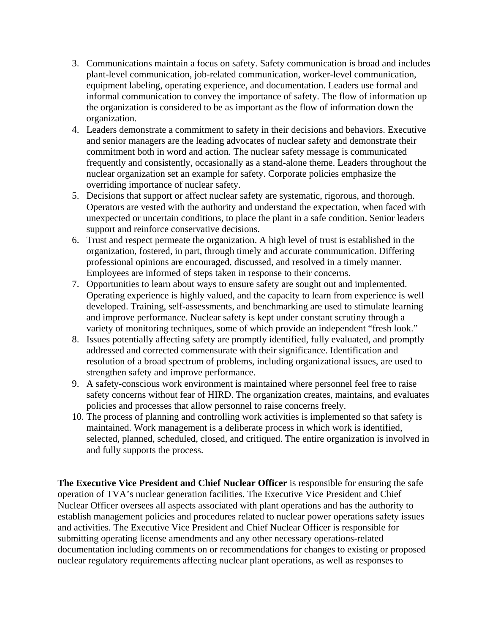- 3. Communications maintain a focus on safety. Safety communication is broad and includes plant-level communication, job-related communication, worker-level communication, equipment labeling, operating experience, and documentation. Leaders use formal and informal communication to convey the importance of safety. The flow of information up the organization is considered to be as important as the flow of information down the organization.
- 4. Leaders demonstrate a commitment to safety in their decisions and behaviors. Executive and senior managers are the leading advocates of nuclear safety and demonstrate their commitment both in word and action. The nuclear safety message is communicated frequently and consistently, occasionally as a stand-alone theme. Leaders throughout the nuclear organization set an example for safety. Corporate policies emphasize the overriding importance of nuclear safety.
- 5. Decisions that support or affect nuclear safety are systematic, rigorous, and thorough. Operators are vested with the authority and understand the expectation, when faced with unexpected or uncertain conditions, to place the plant in a safe condition. Senior leaders support and reinforce conservative decisions.
- 6. Trust and respect permeate the organization. A high level of trust is established in the organization, fostered, in part, through timely and accurate communication. Differing professional opinions are encouraged, discussed, and resolved in a timely manner. Employees are informed of steps taken in response to their concerns.
- 7. Opportunities to learn about ways to ensure safety are sought out and implemented. Operating experience is highly valued, and the capacity to learn from experience is well developed. Training, self-assessments, and benchmarking are used to stimulate learning and improve performance. Nuclear safety is kept under constant scrutiny through a variety of monitoring techniques, some of which provide an independent "fresh look."
- 8. Issues potentially affecting safety are promptly identified, fully evaluated, and promptly addressed and corrected commensurate with their significance. Identification and resolution of a broad spectrum of problems, including organizational issues, are used to strengthen safety and improve performance.
- 9. A safety-conscious work environment is maintained where personnel feel free to raise safety concerns without fear of HIRD. The organization creates, maintains, and evaluates policies and processes that allow personnel to raise concerns freely.
- 10. The process of planning and controlling work activities is implemented so that safety is maintained. Work management is a deliberate process in which work is identified, selected, planned, scheduled, closed, and critiqued. The entire organization is involved in and fully supports the process.

**The Executive Vice President and Chief Nuclear Officer** is responsible for ensuring the safe operation of TVA's nuclear generation facilities. The Executive Vice President and Chief Nuclear Officer oversees all aspects associated with plant operations and has the authority to establish management policies and procedures related to nuclear power operations safety issues and activities. The Executive Vice President and Chief Nuclear Officer is responsible for submitting operating license amendments and any other necessary operations-related documentation including comments on or recommendations for changes to existing or proposed nuclear regulatory requirements affecting nuclear plant operations, as well as responses to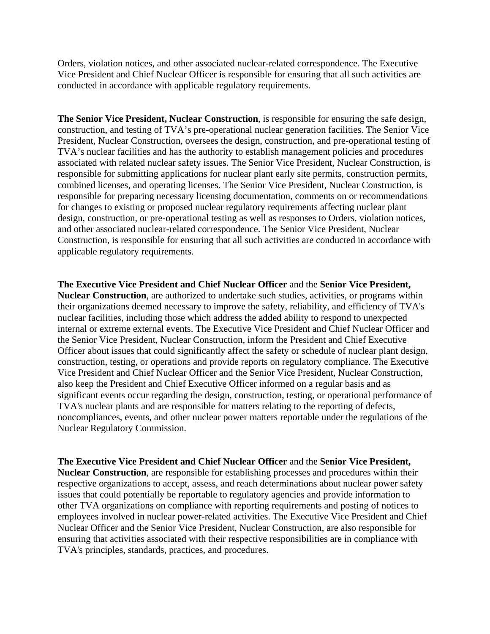Orders, violation notices, and other associated nuclear-related correspondence. The Executive Vice President and Chief Nuclear Officer is responsible for ensuring that all such activities are conducted in accordance with applicable regulatory requirements.

**The Senior Vice President, Nuclear Construction**, is responsible for ensuring the safe design, construction, and testing of TVA's pre-operational nuclear generation facilities. The Senior Vice President, Nuclear Construction, oversees the design, construction, and pre-operational testing of TVA's nuclear facilities and has the authority to establish management policies and procedures associated with related nuclear safety issues. The Senior Vice President, Nuclear Construction, is responsible for submitting applications for nuclear plant early site permits, construction permits, combined licenses, and operating licenses. The Senior Vice President, Nuclear Construction, is responsible for preparing necessary licensing documentation, comments on or recommendations for changes to existing or proposed nuclear regulatory requirements affecting nuclear plant design, construction, or pre-operational testing as well as responses to Orders, violation notices, and other associated nuclear-related correspondence. The Senior Vice President, Nuclear Construction, is responsible for ensuring that all such activities are conducted in accordance with applicable regulatory requirements.

**The Executive Vice President and Chief Nuclear Officer** and the **Senior Vice President, Nuclear Construction**, are authorized to undertake such studies, activities, or programs within their organizations deemed necessary to improve the safety, reliability, and efficiency of TVA's nuclear facilities, including those which address the added ability to respond to unexpected internal or extreme external events. The Executive Vice President and Chief Nuclear Officer and the Senior Vice President, Nuclear Construction, inform the President and Chief Executive Officer about issues that could significantly affect the safety or schedule of nuclear plant design, construction, testing, or operations and provide reports on regulatory compliance. The Executive Vice President and Chief Nuclear Officer and the Senior Vice President, Nuclear Construction, also keep the President and Chief Executive Officer informed on a regular basis and as significant events occur regarding the design, construction, testing, or operational performance of TVA's nuclear plants and are responsible for matters relating to the reporting of defects, noncompliances, events, and other nuclear power matters reportable under the regulations of the Nuclear Regulatory Commission.

**The Executive Vice President and Chief Nuclear Officer** and the **Senior Vice President, Nuclear Construction**, are responsible for establishing processes and procedures within their respective organizations to accept, assess, and reach determinations about nuclear power safety issues that could potentially be reportable to regulatory agencies and provide information to other TVA organizations on compliance with reporting requirements and posting of notices to employees involved in nuclear power-related activities. The Executive Vice President and Chief Nuclear Officer and the Senior Vice President, Nuclear Construction, are also responsible for ensuring that activities associated with their respective responsibilities are in compliance with TVA's principles, standards, practices, and procedures.